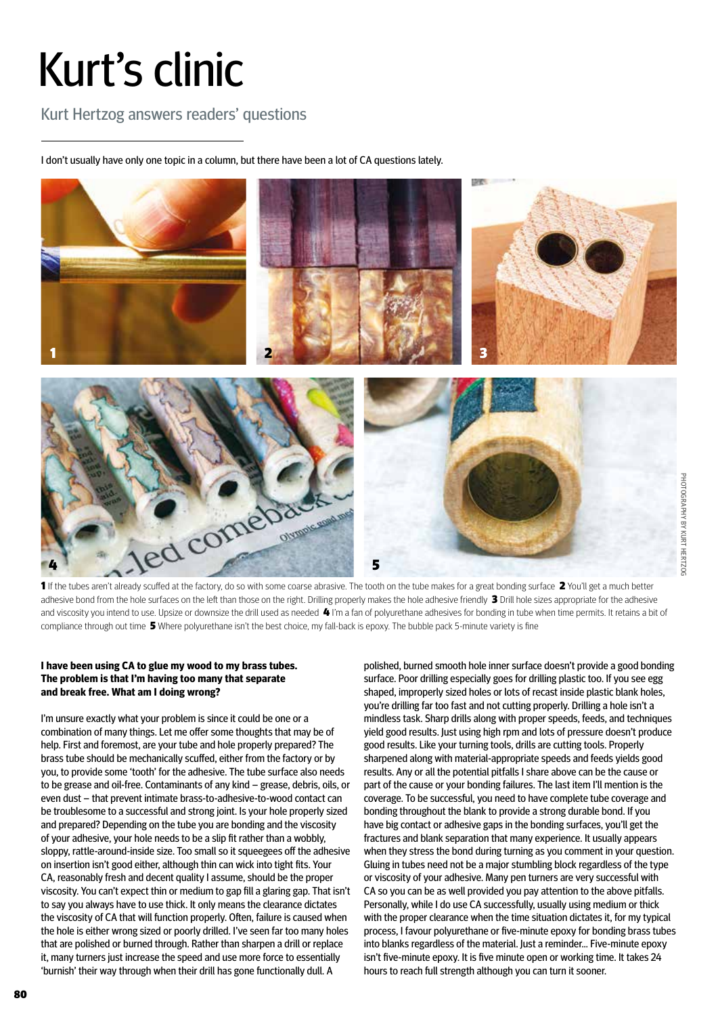## Kurt's clinic

Kurt Hertzog answers readers' questions

I don't usually have only one topic in a column, but there have been a lot of CA questions lately.



1 If the tubes aren't already scuffed at the factory, do so with some coarse abrasive. The tooth on the tube makes for a great bonding surface 2 You'll get a much better adhesive bond from the hole surfaces on the left than those on the right. Drilling properly makes the hole adhesive friendly 3 Drill hole sizes appropriate for the adhesive and viscosity you intend to use. Upsize or downsize the drill used as needed 4 I'm a fan of polyurethane adhesives for bonding in tube when time permits. It retains a bit of compliance through out time 5 Where polyurethane isn't the best choice, my fall-back is epoxy. The bubble pack 5-minute variety is fine

## **I have been using CA to glue my wood to my brass tubes. The problem is that I'm having too many that separate and break free. What am I doing wrong?**

I'm unsure exactly what your problem is since it could be one or a combination of many things. Let me offer some thoughts that may be of help. First and foremost, are your tube and hole properly prepared? The brass tube should be mechanically scuffed, either from the factory or by you, to provide some 'tooth' for the adhesive. The tube surface also needs to be grease and oil-free. Contaminants of any kind – grease, debris, oils, or even dust – that prevent intimate brass-to-adhesive-to-wood contact can be troublesome to a successful and strong joint. Is your hole properly sized and prepared? Depending on the tube you are bonding and the viscosity of your adhesive, your hole needs to be a slip fit rather than a wobbly, sloppy, rattle-around-inside size. Too small so it squeegees off the adhesive on insertion isn't good either, although thin can wick into tight fits. Your CA, reasonably fresh and decent quality I assume, should be the proper viscosity. You can't expect thin or medium to gap fill a glaring gap. That isn't to say you always have to use thick. It only means the clearance dictates the viscosity of CA that will function properly. Often, failure is caused when the hole is either wrong sized or poorly drilled. I've seen far too many holes that are polished or burned through. Rather than sharpen a drill or replace it, many turners just increase the speed and use more force to essentially 'burnish' their way through when their drill has gone functionally dull. A

polished, burned smooth hole inner surface doesn't provide a good bonding surface. Poor drilling especially goes for drilling plastic too. If you see egg shaped, improperly sized holes or lots of recast inside plastic blank holes, you're drilling far too fast and not cutting properly. Drilling a hole isn't a mindless task. Sharp drills along with proper speeds, feeds, and techniques yield good results. Just using high rpm and lots of pressure doesn't produce good results. Like your turning tools, drills are cutting tools. Properly sharpened along with material-appropriate speeds and feeds yields good results. Any or all the potential pitfalls I share above can be the cause or part of the cause or your bonding failures. The last item I'll mention is the coverage. To be successful, you need to have complete tube coverage and bonding throughout the blank to provide a strong durable bond. If you have big contact or adhesive gaps in the bonding surfaces, you'll get the fractures and blank separation that many experience. It usually appears when they stress the bond during turning as you comment in your question. Gluing in tubes need not be a major stumbling block regardless of the type or viscosity of your adhesive. Many pen turners are very successful with CA so you can be as well provided you pay attention to the above pitfalls. Personally, while I do use CA successfully, usually using medium or thick with the proper clearance when the time situation dictates it, for my typical process, I favour polyurethane or five-minute epoxy for bonding brass tubes into blanks regardless of the material. Just a reminder… Five-minute epoxy isn't five-minute epoxy. It is five minute open or working time. It takes 24 hours to reach full strength although you can turn it sooner.